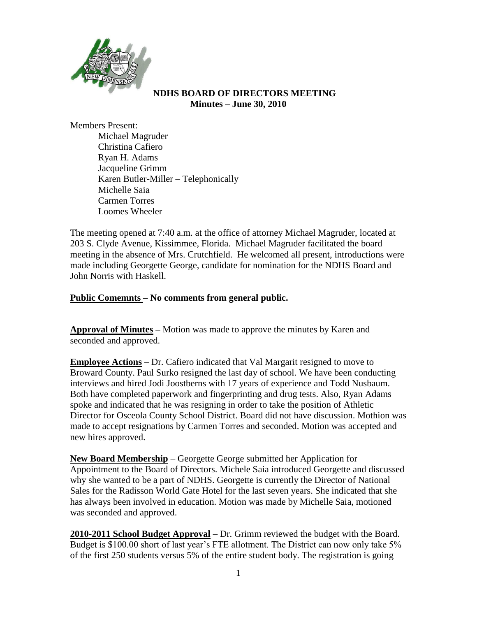

### **NDHS BOARD OF DIRECTORS MEETING Minutes – June 30, 2010**

Members Present:

Michael Magruder Christina Cafiero Ryan H. Adams Jacqueline Grimm Karen Butler-Miller – Telephonically Michelle Saia Carmen Torres Loomes Wheeler

The meeting opened at 7:40 a.m. at the office of attorney Michael Magruder, located at 203 S. Clyde Avenue, Kissimmee, Florida. Michael Magruder facilitated the board meeting in the absence of Mrs. Crutchfield. He welcomed all present, introductions were made including Georgette George, candidate for nomination for the NDHS Board and John Norris with Haskell.

## **Public Comemnts – No comments from general public.**

**Approval of Minutes –** Motion was made to approve the minutes by Karen and seconded and approved.

**Employee Actions** – Dr. Cafiero indicated that Val Margarit resigned to move to Broward County. Paul Surko resigned the last day of school. We have been conducting interviews and hired Jodi Joostberns with 17 years of experience and Todd Nusbaum. Both have completed paperwork and fingerprinting and drug tests. Also, Ryan Adams spoke and indicated that he was resigning in order to take the position of Athletic Director for Osceola County School District. Board did not have discussion. Mothion was made to accept resignations by Carmen Torres and seconded. Motion was accepted and new hires approved.

**New Board Membership** – Georgette George submitted her Application for Appointment to the Board of Directors. Michele Saia introduced Georgette and discussed why she wanted to be a part of NDHS. Georgette is currently the Director of National Sales for the Radisson World Gate Hotel for the last seven years. She indicated that she has always been involved in education. Motion was made by Michelle Saia, motioned was seconded and approved.

**2010-2011 School Budget Approval** – Dr. Grimm reviewed the budget with the Board. Budget is \$100.00 short of last year's FTE allotment. The District can now only take 5% of the first 250 students versus 5% of the entire student body. The registration is going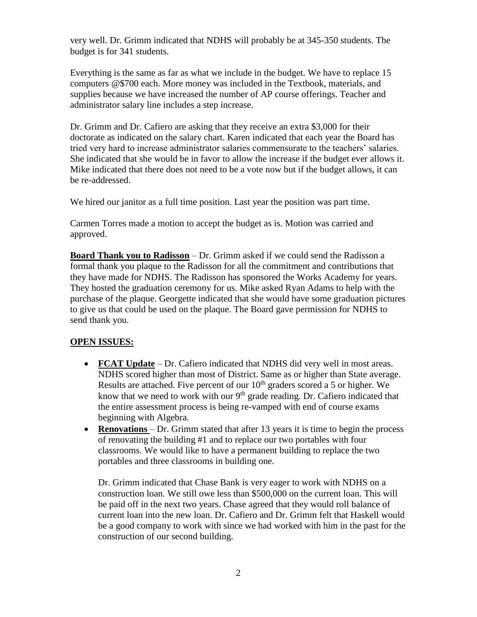very well. Dr. Grimm indicated that NDHS will probably be at 345-350 students. The budget is for 341 students.

Everything is the same as far as what we include in the budget. We have to replace 15 computers @\$700 each. More money was included in the Textbook, materials, and supplies because we have increased the number of AP course offerings. Teacher and administrator salary line includes a step increase.

Dr. Grimm and Dr. Cafiero are asking that they receive an extra \$3,000 for their doctorate as indicated on the salary chart. Karen indicated that each year the Board has tried very hard to increase administrator salaries commensurate to the teachers' salaries. She indicated that she would be in favor to allow the increase if the budget ever allows it. Mike indicated that there does not need to be a vote now but if the budget allows, it can be re-addressed.

We hired our janitor as a full time position. Last year the position was part time.

Carmen Torres made a motion to accept the budget as is. Motion was carried and approved.

**Board Thank you to Radisson** – Dr. Grimm asked if we could send the Radisson a formal thank you plaque to the Radisson for all the commitment and contributions that they have made for NDHS. The Radisson has sponsored the Works Academy for years. They hosted the graduation ceremony for us. Mike asked Ryan Adams to help with the purchase of the plaque. Georgette indicated that she would have some graduation pictures to give us that could be used on the plaque. The Board gave permission for NDHS to send thank you.

## **OPEN ISSUES:**

- **FCAT Update** Dr. Cafiero indicated that NDHS did very well in most areas. NDHS scored higher than most of District. Same as or higher than State average. Results are attached. Five percent of our 10<sup>th</sup> graders scored a 5 or higher. We know that we need to work with our  $9<sup>th</sup>$  grade reading. Dr. Cafiero indicated that the entire assessment process is being re-vamped with end of course exams beginning with Algebra.
- **Renovations** Dr. Grimm stated that after 13 years it is time to begin the process of renovating the building #1 and to replace our two portables with four classrooms. We would like to have a permanent building to replace the two portables and three classrooms in building one.

Dr. Grimm indicated that Chase Bank is very eager to work with NDHS on a construction loan. We still owe less than \$500,000 on the current loan. This will be paid off in the next two years. Chase agreed that they would roll balance of current loan into the new loan. Dr. Cafiero and Dr. Grimm felt that Haskell would be a good company to work with since we had worked with him in the past for the construction of our second building.